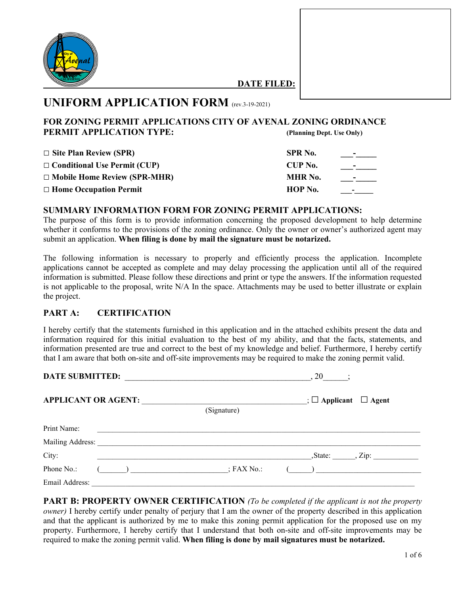

### **\_\_\_\_\_\_\_\_\_\_\_\_\_\_\_\_\_\_\_\_\_\_\_\_\_\_\_\_\_\_\_DATE FILED:**

# **UNIFORM APPLICATION FORM** (rev.3-19-2021)

### **FOR ZONING PERMIT APPLICATIONS CITY OF AVENAL ZONING ORDINANCE PERMIT APPLICATION TYPE: (Planning Dept. Use Only)**

□ **Site Plan Review (SPR) SPR No. SPR No.** □ **Conditional Use Permit (CUP) CUP No. CUP No. \_\_\_\_\_\_\_\_\_\_\_\_\_\_\_\_\_\_\_\_\_\_\_\_\_\_\_ □ Mobile Home Review (SPR-MHR) MHR No. \_\_\_-\_\_\_\_\_** □ **Home Occupation Permit HOP No.** *\_\_* 

### **SUMMARY INFORMATION FORM FOR ZONING PERMIT APPLICATIONS:**

The purpose of this form is to provide information concerning the proposed development to help determine whether it conforms to the provisions of the zoning ordinance. Only the owner or owner's authorized agent may submit an application. **When filing is done by mail the signature must be notarized.**

The following information is necessary to properly and efficiently process the application. Incomplete applications cannot be accepted as complete and may delay processing the application until all of the required information is submitted. Please follow these directions and print or type the answers. If the information requested is not applicable to the proposal, write N/A In the space. Attachments may be used to better illustrate or explain the project.

### **PART A: CERTIFICATION**

I hereby certify that the statements furnished in this application and in the attached exhibits present the data and information required for this initial evaluation to the best of my ability, and that the facts, statements, and information presented are true and correct to the best of my knowledge and belief. Furthermore, I hereby certify that I am aware that both on-site and off-site improvements may be required to make the zoning permit valid.

| <b>DATE SUBMITTED:</b><br><u> 1989 - John Stein, mars and der Stein Stein Stein Stein Stein Stein Stein Stein Stein Stein Stein Stein Stein</u>                                                                                | 20            |                               |  |  |
|--------------------------------------------------------------------------------------------------------------------------------------------------------------------------------------------------------------------------------|---------------|-------------------------------|--|--|
| <b>APPLICANT OR AGENT:</b>                                                                                                                                                                                                     | (Signature)   | $\Box$ Applicant $\Box$ Agent |  |  |
| Print Name:                                                                                                                                                                                                                    |               |                               |  |  |
| Mailing Address: National Address: National Address: National Address: National Address: National Address: National Address: National Address: National Address: National Address: National Address: National Address: Nationa |               |                               |  |  |
| City:                                                                                                                                                                                                                          |               | State:<br>, Zip:              |  |  |
| Phone No.:<br>$\overline{a}$                                                                                                                                                                                                   | ; FAX $No.$ : |                               |  |  |
| Email Address:                                                                                                                                                                                                                 |               |                               |  |  |

**PART B: PROPERTY OWNER CERTIFICATION** *(To be completed if the applicant is not the property owner)* I hereby certify under penalty of perjury that I am the owner of the property described in this application and that the applicant is authorized by me to make this zoning permit application for the proposed use on my property. Furthermore, I hereby certify that I understand that both on-site and off-site improvements may be required to make the zoning permit valid. **When filing is done by mail signatures must be notarized.**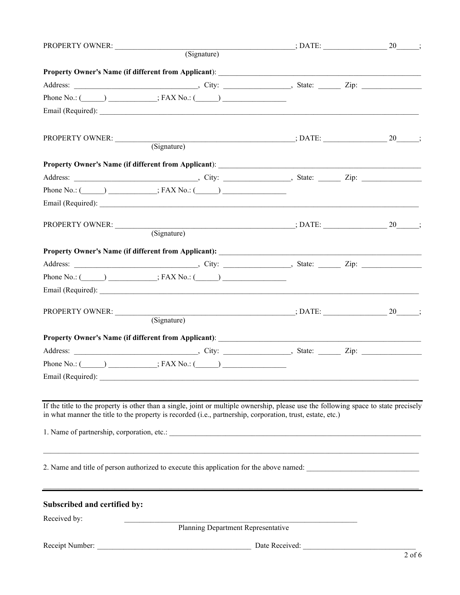| PROPERTY OWNER:              |                                                                                                                                                                                                                                                   | $\frac{1}{20}$ ; DATE: $\frac{20}{20}$ ; |            |
|------------------------------|---------------------------------------------------------------------------------------------------------------------------------------------------------------------------------------------------------------------------------------------------|------------------------------------------|------------|
|                              | (signature)                                                                                                                                                                                                                                       |                                          |            |
|                              |                                                                                                                                                                                                                                                   |                                          |            |
|                              |                                                                                                                                                                                                                                                   |                                          |            |
|                              | Phone No.: $(\_\_\_\_\_\_\$ : FAX No.: $(\_\_\_\_\_\_\_\_\$                                                                                                                                                                                       |                                          |            |
|                              |                                                                                                                                                                                                                                                   |                                          |            |
|                              |                                                                                                                                                                                                                                                   |                                          |            |
|                              |                                                                                                                                                                                                                                                   |                                          |            |
|                              |                                                                                                                                                                                                                                                   |                                          |            |
|                              |                                                                                                                                                                                                                                                   |                                          |            |
|                              |                                                                                                                                                                                                                                                   |                                          |            |
|                              | Phone No.: $\qquad \qquad$ $;$ FAX No.: $\qquad \qquad$                                                                                                                                                                                           |                                          |            |
|                              |                                                                                                                                                                                                                                                   |                                          |            |
| PROPERTY OWNER:              | $\begin{array}{c} \text{} \quad 20 \quad \text{} \end{array}$                                                                                                                                                                                     |                                          |            |
|                              | (Signature)                                                                                                                                                                                                                                       |                                          |            |
|                              |                                                                                                                                                                                                                                                   |                                          |            |
|                              |                                                                                                                                                                                                                                                   |                                          |            |
|                              | Phone No.: $(\_\_\_\_\_\_\$ : FAX No.: $(\_\_\_\_\_\_\_\$                                                                                                                                                                                         |                                          |            |
|                              |                                                                                                                                                                                                                                                   |                                          |            |
|                              |                                                                                                                                                                                                                                                   |                                          |            |
| PROPERTY OWNER:              | $\frac{1}{20}$ (Signature) $\frac{1}{20}$ .                                                                                                                                                                                                       |                                          |            |
|                              |                                                                                                                                                                                                                                                   |                                          |            |
|                              |                                                                                                                                                                                                                                                   |                                          |            |
|                              |                                                                                                                                                                                                                                                   |                                          |            |
|                              | Phone No.: $(\_\_\_\_\_\_\$ : FAX No.: $(\_\_\_\_\_\_\_\_\_\$                                                                                                                                                                                     |                                          |            |
|                              |                                                                                                                                                                                                                                                   |                                          |            |
|                              |                                                                                                                                                                                                                                                   |                                          |            |
|                              | If the title to the property is other than a single, joint or multiple ownership, please use the following space to state precisely<br>in what manner the title to the property is recorded (i.e., partnership, corporation, trust, estate, etc.) |                                          |            |
|                              |                                                                                                                                                                                                                                                   |                                          |            |
|                              |                                                                                                                                                                                                                                                   |                                          |            |
|                              |                                                                                                                                                                                                                                                   |                                          |            |
|                              | 2. Name and title of person authorized to execute this application for the above named:                                                                                                                                                           |                                          |            |
|                              |                                                                                                                                                                                                                                                   |                                          |            |
|                              |                                                                                                                                                                                                                                                   |                                          |            |
| Subscribed and certified by: |                                                                                                                                                                                                                                                   |                                          |            |
| Received by:                 | Planning Department Representative                                                                                                                                                                                                                |                                          |            |
|                              |                                                                                                                                                                                                                                                   |                                          |            |
|                              |                                                                                                                                                                                                                                                   |                                          |            |
|                              |                                                                                                                                                                                                                                                   |                                          | $2$ of $6$ |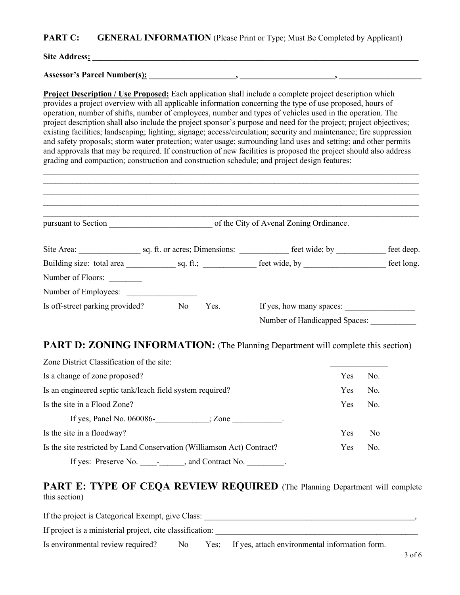### **PART C: GENERAL INFORMATION** (Please Print or Type; Must Be Completed by Applicant)

**Site Address: \_\_\_\_\_\_\_\_\_\_\_\_\_\_\_\_\_\_\_\_\_\_\_\_\_\_\_\_\_\_\_\_\_\_\_\_\_\_\_\_\_\_\_\_\_\_\_\_\_\_\_\_\_\_\_\_\_\_\_\_\_\_\_\_\_\_\_\_\_\_\_\_\_\_\_\_\_\_\_**

**Assessor's Parcel Number(s): \_\_\_\_\_\_\_\_\_\_\_\_\_\_\_\_\_\_\_\_\_, \_\_\_\_\_\_\_\_\_\_\_\_\_\_\_\_\_\_\_\_\_\_\_, \_\_\_\_\_\_\_\_\_\_\_\_\_\_\_\_\_\_\_\_**

**Project Description / Use Proposed:** Each application shall include a complete project description which provides a project overview with all applicable information concerning the type of use proposed, hours of operation, number of shifts, number of employees, number and types of vehicles used in the operation. The project description shall also include the project sponsor's purpose and need for the project; project objectives; existing facilities; landscaping; lighting; signage; access/circulation; security and maintenance; fire suppression and safety proposals; storm water protection; water usage; surrounding land uses and setting; and other permits and approvals that may be required. If construction of new facilities is proposed the project should also address grading and compaction; construction and construction schedule; and project design features:

|                                 |    |      | pursuant to Section of the City of Avenal Zoning Ordinance. |            |
|---------------------------------|----|------|-------------------------------------------------------------|------------|
|                                 |    |      | Site Area: sq. ft. or acres; Dimensions: feet wide; by      | feet deep. |
|                                 |    |      |                                                             | feet long. |
| Number of Floors:               |    |      |                                                             |            |
| Number of Employees:            |    |      |                                                             |            |
| Is off-street parking provided? | No | Yes. | If yes, how many spaces:                                    |            |
|                                 |    |      | Number of Handicapped Spaces:                               |            |

## **PART D: ZONING INFORMATION:** (The Planning Department will complete this section)

| Zone District Classification of the site:                              |            |                |
|------------------------------------------------------------------------|------------|----------------|
| Is a change of zone proposed?                                          | Yes        | No.            |
| Is an engineered septic tank/leach field system required?              | Yes        | No.            |
| Is the site in a Flood Zone?                                           | Yes        | No.            |
| If yes, Panel No. $060086$ -<br>$\mathsf{Zone}$ .                      |            |                |
| Is the site in a floodway?                                             | Yes        | N <sub>0</sub> |
| Is the site restricted by Land Conservation (Williamson Act) Contract? | <b>Yes</b> | No.            |
| If yes: Preserve No. _____________, and Contract No.                   |            |                |

## PART E: TYPE OF CEQA REVIEW REQUIRED (The Planning Department will complete this section)

| If the project is Categorical Exempt, give Class:         |     |  |                                                     |  |  |
|-----------------------------------------------------------|-----|--|-----------------------------------------------------|--|--|
| If project is a ministerial project, cite classification: |     |  |                                                     |  |  |
| Is environmental review required?                         | No. |  | Yes; If yes, attach environmental information form. |  |  |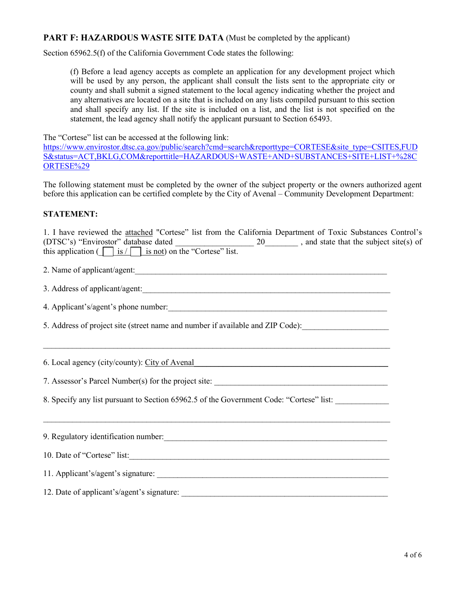### **PART F: HAZARDOUS WASTE SITE DATA** (Must be completed by the applicant)

Section 65962.5(f) of the California Government Code states the following:

(f) Before a lead agency accepts as complete an application for any development project which will be used by any person, the applicant shall consult the lists sent to the appropriate city or county and shall submit a signed statement to the local agency indicating whether the project and any alternatives are located on a site that is included on any lists compiled pursuant to this section and shall specify any list. If the site is included on a list, and the list is not specified on the statement, the lead agency shall notify the applicant pursuant to Section 65493.

The "Cortese" list can be accessed at the following link:

[https://www.envirostor.dtsc.ca.gov/public/search?cmd=search&reporttype=CORTESE&site\\_type=CSITES,FUD](https://www.envirostor.dtsc.ca.gov/public/search?cmd=search&reporttype=CORTESE&site_type=CSITES,FUDS&status=ACT,BKLG,COM&reporttitle=HAZARDOUS+WASTE+AND+SUBSTANCES+SITE+LIST+%28CORTESE%29) [S&status=ACT,BKLG,COM&reporttitle=HAZARDOUS+WASTE+AND+SUBSTANCES+SITE+LIST+%28C](https://www.envirostor.dtsc.ca.gov/public/search?cmd=search&reporttype=CORTESE&site_type=CSITES,FUDS&status=ACT,BKLG,COM&reporttitle=HAZARDOUS+WASTE+AND+SUBSTANCES+SITE+LIST+%28CORTESE%29) [ORTESE%29](https://www.envirostor.dtsc.ca.gov/public/search?cmd=search&reporttype=CORTESE&site_type=CSITES,FUDS&status=ACT,BKLG,COM&reporttitle=HAZARDOUS+WASTE+AND+SUBSTANCES+SITE+LIST+%28CORTESE%29)

The following statement must be completed by the owner of the subject property or the owners authorized agent before this application can be certified complete by the City of Avenal – Community Development Department:

### **STATEMENT:**

| 1. I have reviewed the attached "Cortese" list from the California Department of Toxic Substances Control's<br>(DTSC's) "Envirostor" database dated $\frac{20}{\text{ this application }(\boxed{\phantom{0}} \text{ is } 1 \text{ s of})}$ and state that the subject site(s) of |  |  |  |  |  |  |
|----------------------------------------------------------------------------------------------------------------------------------------------------------------------------------------------------------------------------------------------------------------------------------|--|--|--|--|--|--|
|                                                                                                                                                                                                                                                                                  |  |  |  |  |  |  |
| 2. Name of applicant/agent:                                                                                                                                                                                                                                                      |  |  |  |  |  |  |
|                                                                                                                                                                                                                                                                                  |  |  |  |  |  |  |
| 4. Applicant's/agent's phone number:                                                                                                                                                                                                                                             |  |  |  |  |  |  |
| 5. Address of project site (street name and number if available and ZIP Code):                                                                                                                                                                                                   |  |  |  |  |  |  |
|                                                                                                                                                                                                                                                                                  |  |  |  |  |  |  |
| 6. Local agency (city/county): City of Avenal example and the state of the state of the state of the state of the state of the state of the state of the state of the state of the state of the state of the state of the stat                                                   |  |  |  |  |  |  |
|                                                                                                                                                                                                                                                                                  |  |  |  |  |  |  |
| 8. Specify any list pursuant to Section 65962.5 of the Government Code: "Cortese" list:                                                                                                                                                                                          |  |  |  |  |  |  |
|                                                                                                                                                                                                                                                                                  |  |  |  |  |  |  |
| 9. Regulatory identification number:<br><u> and</u> the contract of the contract of the contract of the contract of the contract of the contract of the contract of the contract of the contract of the contract of the contract of t                                            |  |  |  |  |  |  |
| 10. Date of "Cortese" list:                                                                                                                                                                                                                                                      |  |  |  |  |  |  |
|                                                                                                                                                                                                                                                                                  |  |  |  |  |  |  |
|                                                                                                                                                                                                                                                                                  |  |  |  |  |  |  |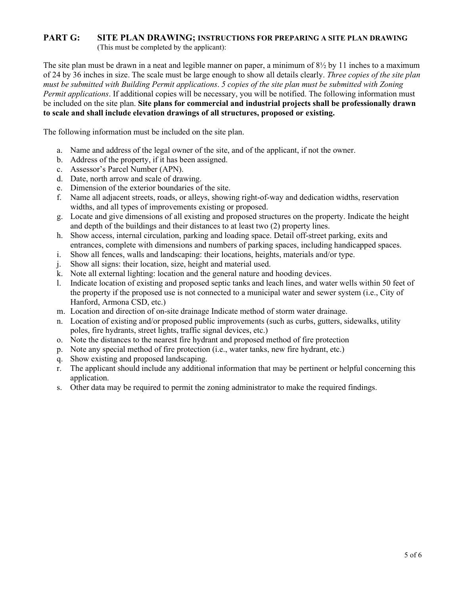# **PART G: SITE PLAN DRAWING; INSTRUCTIONS FOR PREPARING A SITE PLAN DRAWING**

(This must be completed by the applicant):

The site plan must be drawn in a neat and legible manner on paper, a minimum of  $8\frac{1}{2}$  by 11 inches to a maximum of 24 by 36 inches in size. The scale must be large enough to show all details clearly. *Three copies of the site plan must be submitted with Building Permit applications*. *5 copies of the site plan must be submitted with Zoning Permit applications*. If additional copies will be necessary, you will be notified. The following information must be included on the site plan. **Site plans for commercial and industrial projects shall be professionally drawn to scale and shall include elevation drawings of all structures, proposed or existing.**

The following information must be included on the site plan.

- a. Name and address of the legal owner of the site, and of the applicant, if not the owner.
- b. Address of the property, if it has been assigned.
- c. Assessor's Parcel Number (APN).
- d. Date, north arrow and scale of drawing.
- e. Dimension of the exterior boundaries of the site.
- f. Name all adjacent streets, roads, or alleys, showing right-of-way and dedication widths, reservation widths, and all types of improvements existing or proposed.
- g. Locate and give dimensions of all existing and proposed structures on the property. Indicate the height and depth of the buildings and their distances to at least two (2) property lines.
- h. Show access, internal circulation, parking and loading space. Detail off-street parking, exits and entrances, complete with dimensions and numbers of parking spaces, including handicapped spaces.
- i. Show all fences, walls and landscaping: their locations, heights, materials and/or type.
- j. Show all signs: their location, size, height and material used.
- k. Note all external lighting: location and the general nature and hooding devices.
- l. Indicate location of existing and proposed septic tanks and leach lines, and water wells within 50 feet of the property if the proposed use is not connected to a municipal water and sewer system (i.e., City of Hanford, Armona CSD, etc.)
- m. Location and direction of on-site drainage Indicate method of storm water drainage.
- n. Location of existing and/or proposed public improvements (such as curbs, gutters, sidewalks, utility poles, fire hydrants, street lights, traffic signal devices, etc.)
- o. Note the distances to the nearest fire hydrant and proposed method of fire protection
- p. Note any special method of fire protection (i.e., water tanks, new fire hydrant, etc.)
- q. Show existing and proposed landscaping.
- r. The applicant should include any additional information that may be pertinent or helpful concerning this application.
- s. Other data may be required to permit the zoning administrator to make the required findings.